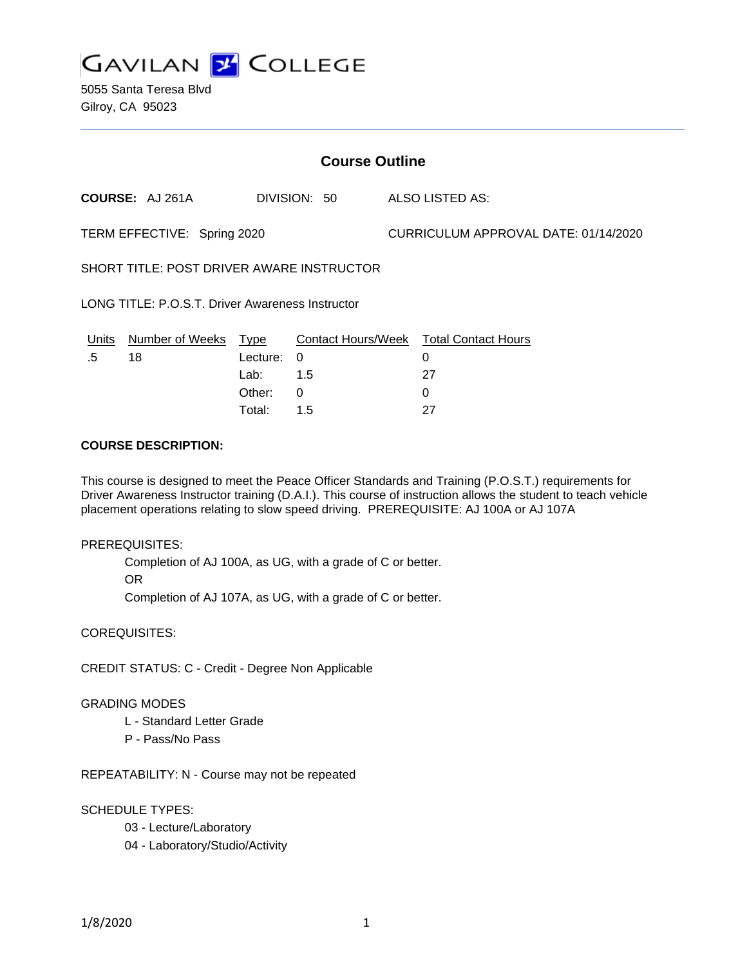

| <b>Course Outline</b>                            |                                      |                             |                                                              |  |  |
|--------------------------------------------------|--------------------------------------|-----------------------------|--------------------------------------------------------------|--|--|
| <b>COURSE:</b> AJ 261A                           |                                      | DIVISION: 50                | ALSO LISTED AS:                                              |  |  |
| TERM EFFECTIVE: Spring 2020                      |                                      |                             | CURRICULUM APPROVAL DATE: 01/14/2020                         |  |  |
| SHORT TITLE: POST DRIVER AWARE INSTRUCTOR        |                                      |                             |                                                              |  |  |
| LONG TITLE: P.O.S.T. Driver Awareness Instructor |                                      |                             |                                                              |  |  |
| Number of Weeks Type<br><u>Units</u><br>.5<br>18 | Lecture:<br>Lab:<br>Other:<br>Total: | 0<br>1.5<br>$\Omega$<br>1.5 | Contact Hours/Week Total Contact Hours<br>0<br>27<br>0<br>27 |  |  |

# **COURSE DESCRIPTION:**

This course is designed to meet the Peace Officer Standards and Training (P.O.S.T.) requirements for Driver Awareness Instructor training (D.A.I.). This course of instruction allows the student to teach vehicle placement operations relating to slow speed driving. PREREQUISITE: AJ 100A or AJ 107A

### PREREQUISITES:

Completion of AJ 100A, as UG, with a grade of C or better. OR

Completion of AJ 107A, as UG, with a grade of C or better.

COREQUISITES:

CREDIT STATUS: C - Credit - Degree Non Applicable

#### GRADING MODES

- L Standard Letter Grade
- P Pass/No Pass

REPEATABILITY: N - Course may not be repeated

SCHEDULE TYPES:

- 03 Lecture/Laboratory
- 04 Laboratory/Studio/Activity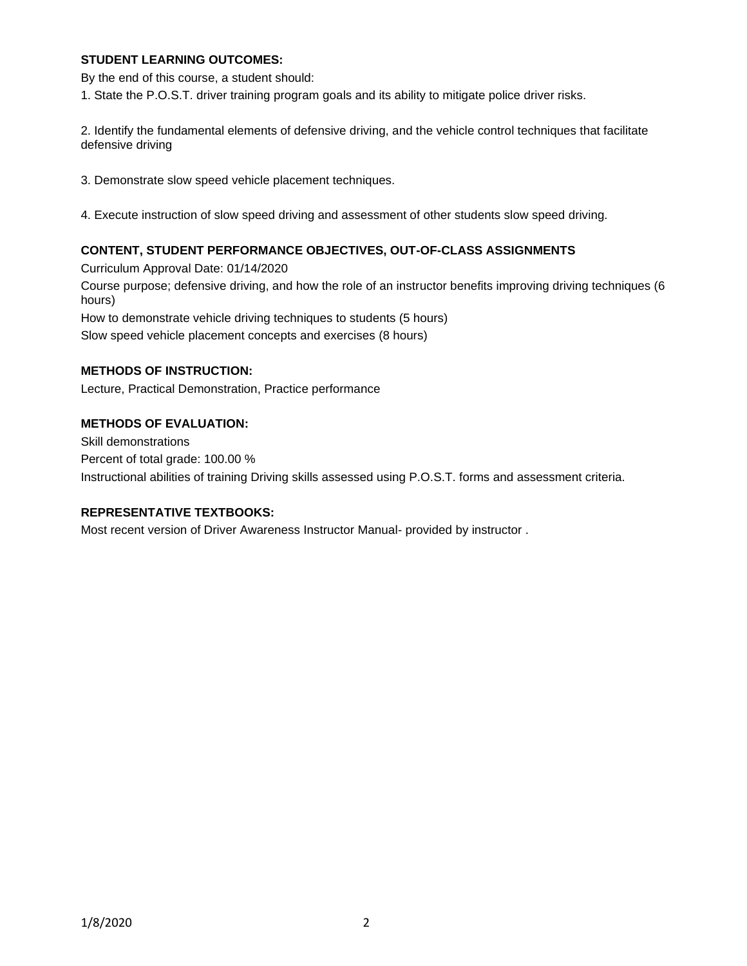## **STUDENT LEARNING OUTCOMES:**

By the end of this course, a student should:

1. State the P.O.S.T. driver training program goals and its ability to mitigate police driver risks.

2. Identify the fundamental elements of defensive driving, and the vehicle control techniques that facilitate defensive driving

3. Demonstrate slow speed vehicle placement techniques.

4. Execute instruction of slow speed driving and assessment of other students slow speed driving.

### **CONTENT, STUDENT PERFORMANCE OBJECTIVES, OUT-OF-CLASS ASSIGNMENTS**

Curriculum Approval Date: 01/14/2020 Course purpose; defensive driving, and how the role of an instructor benefits improving driving techniques (6 hours) How to demonstrate vehicle driving techniques to students (5 hours) Slow speed vehicle placement concepts and exercises (8 hours)

### **METHODS OF INSTRUCTION:**

Lecture, Practical Demonstration, Practice performance

### **METHODS OF EVALUATION:**

Skill demonstrations Percent of total grade: 100.00 % Instructional abilities of training Driving skills assessed using P.O.S.T. forms and assessment criteria.

### **REPRESENTATIVE TEXTBOOKS:**

Most recent version of Driver Awareness Instructor Manual- provided by instructor .